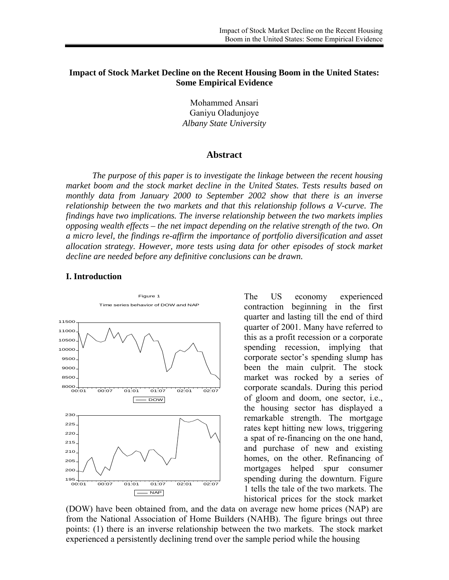## **Impact of Stock Market Decline on the Recent Housing Boom in the United States: Some Empirical Evidence**

Mohammed Ansari Ganiyu Oladunjoye *Albany State University* 

#### **Abstract**

 *The purpose of this paper is to investigate the linkage between the recent housing market boom and the stock market decline in the United States. Tests results based on monthly data from January 2000 to September 2002 show that there is an inverse relationship between the two markets and that this relationship follows a V-curve. The findings have two implications. The inverse relationship between the two markets implies opposing wealth effects – the net impact depending on the relative strength of the two. On a micro level, the findings re-affirm the importance of portfolio diversification and asset allocation strategy. However, more tests using data for other episodes of stock market decline are needed before any definitive conclusions can be drawn.* 

#### **I. Introduction**



The US economy experienced contraction beginning in the first quarter and lasting till the end of third quarter of 2001. Many have referred to this as a profit recession or a corporate spending recession, implying that corporate sector's spending slump has been the main culprit. The stock market was rocked by a series of corporate scandals. During this period of gloom and doom, one sector, i.e., the housing sector has displayed a remarkable strength. The mortgage rates kept hitting new lows, triggering a spat of re-financing on the one hand, and purchase of new and existing homes, on the other. Refinancing of mortgages helped spur consumer spending during the downturn. Figure 1 tells the tale of the two markets. The historical prices for the stock market

(DOW) have been obtained from, and the data on average new home prices (NAP) are from the National Association of Home Builders (NAHB). The figure brings out three points: (1) there is an inverse relationship between the two markets. The stock market experienced a persistently declining trend over the sample period while the housing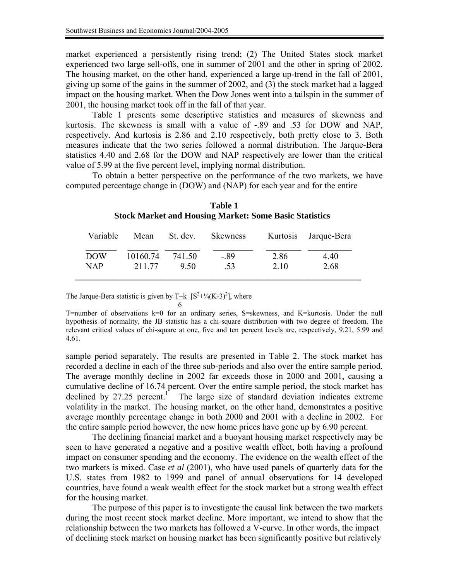market experienced a persistently rising trend; (2) The United States stock market experienced two large sell-offs, one in summer of 2001 and the other in spring of 2002. The housing market, on the other hand, experienced a large up-trend in the fall of 2001, giving up some of the gains in the summer of 2002, and (3) the stock market had a lagged impact on the housing market. When the Dow Jones went into a tailspin in the summer of 2001, the housing market took off in the fall of that year.

 Table 1 presents some descriptive statistics and measures of skewness and kurtosis. The skewness is small with a value of -.89 and .53 for DOW and NAP, respectively. And kurtosis is 2.86 and 2.10 respectively, both pretty close to 3. Both measures indicate that the two series followed a normal distribution. The Jarque-Bera statistics 4.40 and 2.68 for the DOW and NAP respectively are lower than the critical value of 5.99 at the five percent level, implying normal distribution.

 To obtain a better perspective on the performance of the two markets, we have computed percentage change in (DOW) and (NAP) for each year and for the entire

| Variable   | Mean     | St. dev. | Skewness |      | Kurtosis Jarque-Bera |
|------------|----------|----------|----------|------|----------------------|
| <b>DOW</b> | 10160.74 | 741.50   | $-.89$   | 2.86 | 4.40                 |
| <b>NAP</b> | 211.77   | 950      | .53      | 2.10 | 2.68                 |

**Table 1 Stock Market and Housing Market: Some Basic Statistics** 

The Jarque-Bera statistic is given by  $\underline{T-k}$   $[S^2+\frac{1}{4}(K-3)^2]$ , where

T=number of observations k=0 for an ordinary series, S=skewness, and K=kurtosis. Under the null hypothesis of normality, the JB statistic has a chi-square distribution with two degree of freedom. The relevant critical values of chi-square at one, five and ten percent levels are, respectively, 9.21, 5.99 and 4.61.

sample period separately. The results are presented in Table 2. The stock market has recorded a decline in each of the three sub-periods and also over the entire sample period. The average monthly decline in 2002 far exceeds those in 2000 and 2001, causing a cumulative decline of 16.74 percent. Over the entire sample period, the stock market has declined by 27.25 percent.<sup>1</sup> The large size of standard deviation indicates extreme volatility in the market. The housing market, on the other hand, demonstrates a positive average monthly percentage change in both 2000 and 2001 with a decline in 2002. For the entire sample period however, the new home prices have gone up by 6.90 percent.

 The declining financial market and a buoyant housing market respectively may be seen to have generated a negative and a positive wealth effect, both having a profound impact on consumer spending and the economy. The evidence on the wealth effect of the two markets is mixed. Case *et al* (2001), who have used panels of quarterly data for the U.S. states from 1982 to 1999 and panel of annual observations for 14 developed countries, have found a weak wealth effect for the stock market but a strong wealth effect for the housing market.

The purpose of this paper is to investigate the causal link between the two markets during the most recent stock market decline. More important, we intend to show that the relationship between the two markets has followed a V-curve. In other words, the impact of declining stock market on housing market has been significantly positive but relatively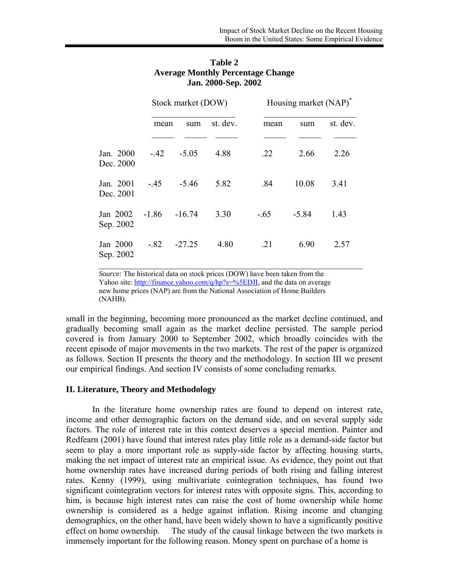|                        |         | Stock market (DOW) |          |        | Housing market (NAP) <sup>*</sup> |          |  |
|------------------------|---------|--------------------|----------|--------|-----------------------------------|----------|--|
|                        | mean    | sum                | st. dev. | mean   | sum                               | st. dev. |  |
| Jan. 2000<br>Dec. 2000 | $-42$   | $-5.05$            | 4.88     | .22    | 2.66                              | 2.26     |  |
| Jan. 2001<br>Dec. 2001 | $-.45$  | $-5.46$            | 5.82     | .84    | 10.08                             | 3.41     |  |
| Jan 2002<br>Sep. 2002  | $-1.86$ | $-16.74$           | 3.30     | $-.65$ | $-5.84$                           | 1.43     |  |
| Jan 2000<br>Sep. 2002  | $-.82$  | $-27.25$           | 4.80     | .21    | 6.90                              | 2.57     |  |

# **Table 2 Average Monthly Percentage Change Jan. 2000-Sep. 2002**

*Source:* The historical data on stock prices (DOW) have been taken from the Yahoo site: [http://finance.yahoo.com/q/hp?s=%5EDJI,](http://finance.yahoo.com/q/hp?s=%5EDJI) and the data on average new home prices (NAP) are from the National Association of Home Builders (NAHB).

small in the beginning, becoming more pronounced as the market decline continued, and gradually becoming small again as the market decline persisted. The sample period covered is from January 2000 to September 2002, which broadly coincides with the recent episode of major movements in the two markets. The rest of the paper is organized as follows. Section II presents the theory and the methodology. In section III we present our empirical findings. And section IV consists of some concluding remarks.

### **II. Literature, Theory and Methodology**

 In the literature home ownership rates are found to depend on interest rate, income and other demographic factors on the demand side, and on several supply side factors. The role of interest rate in this context deserves a special mention. Painter and Redfearn (2001) have found that interest rates play little role as a demand-side factor but seem to play a more important role as supply-side factor by affecting housing starts, making the net impact of interest rate an empirical issue. As evidence, they point out that home ownership rates have increased during periods of both rising and falling interest rates. Kenny (1999), using multivariate cointegration techniques, has found two significant cointegration vectors for interest rates with opposite signs. This, according to him, is because high interest rates can raise the cost of home ownership while home ownership is considered as a hedge against inflation. Rising income and changing demographics, on the other hand, have been widely shown to have a significantly positive effect on home ownership. The study of the causal linkage between the two markets is immensely important for the following reason. Money spent on purchase of a home is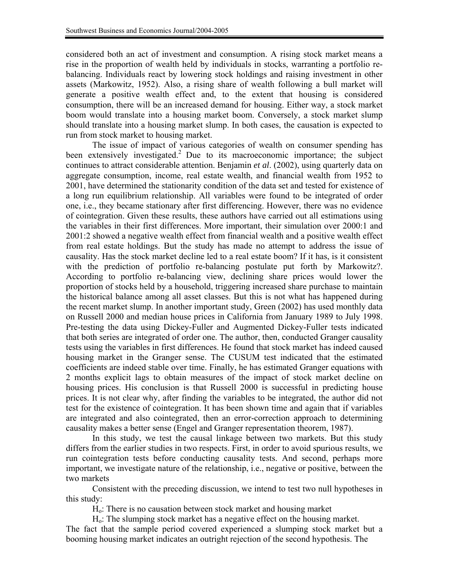considered both an act of investment and consumption. A rising stock market means a rise in the proportion of wealth held by individuals in stocks, warranting a portfolio rebalancing. Individuals react by lowering stock holdings and raising investment in other assets (Markowitz, 1952). Also, a rising share of wealth following a bull market will generate a positive wealth effect and, to the extent that housing is considered consumption, there will be an increased demand for housing. Either way, a stock market boom would translate into a housing market boom. Conversely, a stock market slump should translate into a housing market slump. In both cases, the causation is expected to run from stock market to housing market.

 The issue of impact of various categories of wealth on consumer spending has been extensively investigated.<sup>2</sup> Due to its macroeconomic importance; the subject continues to attract considerable attention. Benjamin *et al*. (2002), using quarterly data on aggregate consumption, income, real estate wealth, and financial wealth from 1952 to 2001, have determined the stationarity condition of the data set and tested for existence of a long run equilibrium relationship. All variables were found to be integrated of order one, i.e., they became stationary after first differencing. However, there was no evidence of cointegration. Given these results, these authors have carried out all estimations using the variables in their first differences. More important, their simulation over 2000:1 and 2001:2 showed a negative wealth effect from financial wealth and a positive wealth effect from real estate holdings. But the study has made no attempt to address the issue of causality. Has the stock market decline led to a real estate boom? If it has, is it consistent with the prediction of portfolio re-balancing postulate put forth by Markowitz?. According to portfolio re-balancing view, declining share prices would lower the proportion of stocks held by a household, triggering increased share purchase to maintain the historical balance among all asset classes. But this is not what has happened during the recent market slump. In another important study, Green (2002) has used monthly data on Russell 2000 and median house prices in California from January 1989 to July 1998. Pre-testing the data using Dickey-Fuller and Augmented Dickey-Fuller tests indicated that both series are integrated of order one. The author, then, conducted Granger causality tests using the variables in first differences. He found that stock market has indeed caused housing market in the Granger sense. The CUSUM test indicated that the estimated coefficients are indeed stable over time. Finally, he has estimated Granger equations with 2 months explicit lags to obtain measures of the impact of stock market decline on housing prices. His conclusion is that Russell 2000 is successful in predicting house prices. It is not clear why, after finding the variables to be integrated, the author did not test for the existence of cointegration. It has been shown time and again that if variables are integrated and also cointegrated, then an error-correction approach to determining causality makes a better sense (Engel and Granger representation theorem, 1987).

In this study, we test the causal linkage between two markets. But this study differs from the earlier studies in two respects. First, in order to avoid spurious results, we run cointegration tests before conducting causality tests. And second, perhaps more important, we investigate nature of the relationship, i.e., negative or positive, between the two markets

Consistent with the preceding discussion, we intend to test two null hypotheses in this study:

Ho: There is no causation between stock market and housing market

Ho: The slumping stock market has a negative effect on the housing market. The fact that the sample period covered experienced a slumping stock market but a booming housing market indicates an outright rejection of the second hypothesis. The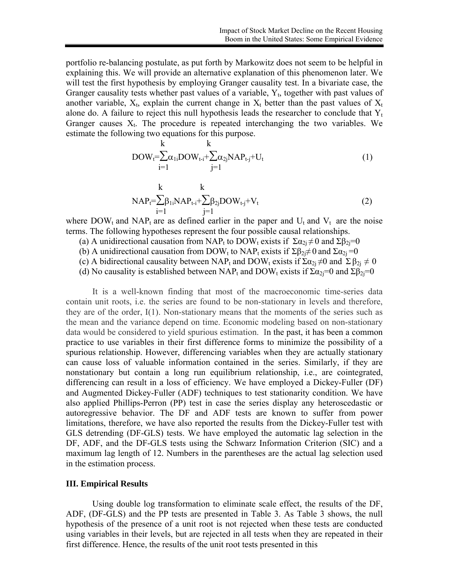portfolio re-balancing postulate, as put forth by Markowitz does not seem to be helpful in explaining this. We will provide an alternative explanation of this phenomenon later. We will test the first hypothesis by employing Granger causality test. In a bivariate case, the Granger causality tests whether past values of a variable,  $Y_t$ , together with past values of another variable,  $X_t$ , explain the current change in  $X_t$  better than the past values of  $X_t$ alone do. A failure to reject this null hypothesis leads the researcher to conclude that  $Y_t$ Granger causes  $X_t$ . The procedure is repeated interchanging the two variables. We estimate the following two equations for this purpose.

$$
\begin{array}{ll}\n & k \\
\text{DOW}_{t} = \sum_{i=1}^{K} \alpha_{1i} \text{DOW}_{t-i} + \sum_{j=1}^{K} \alpha_{2j} \text{NAP}_{t-j} + U_{t}\n\end{array} \tag{1}
$$

$$
RAP_t = \sum_{i=1}^{k} \beta_{1i}NAP_{t-i} + \sum_{j=1}^{k} \beta_{2j}DOW_{t-j} + V_t
$$
\n
$$
(2)
$$

where DOW<sub>t</sub> and NAP<sub>t</sub> are as defined earlier in the paper and  $U_t$  and  $V_t$  are the noise terms. The following hypotheses represent the four possible causal relationships.

- (a) A unidirectional causation from NAP<sub>t</sub> to DOW<sub>t</sub> exists if  $\Sigma \alpha_{2i} \neq 0$  and  $\Sigma \beta_{2i} = 0$
- (b) A unidirectional causation from DOW<sub>t</sub> to NAP<sub>t</sub> exists if  $\Sigma \beta_{2i} \neq 0$  and  $\Sigma \alpha_{2i} = 0$
- (c) A bidirectional causality between NAP<sub>t</sub> and DOW<sub>t</sub> exists if  $\Sigma \alpha_{2i} \neq 0$  and  $\Sigma \beta_{2i} \neq 0$
- (d) No causality is established between NAP<sub>t</sub> and DOW<sub>t</sub> exists if  $\Sigma \alpha_{2i} = 0$  and  $\Sigma \beta_{2i} = 0$

It is a well-known finding that most of the macroeconomic time-series data contain unit roots, i.e. the series are found to be non-stationary in levels and therefore, they are of the order, I(1). Non-stationary means that the moments of the series such as the mean and the variance depend on time. Economic modeling based on non-stationary data would be considered to yield spurious estimation. In the past, it has been a common practice to use variables in their first difference forms to minimize the possibility of a spurious relationship. However, differencing variables when they are actually stationary can cause loss of valuable information contained in the series. Similarly, if they are nonstationary but contain a long run equilibrium relationship, i.e., are cointegrated, differencing can result in a loss of efficiency. We have employed a Dickey-Fuller (DF) and Augmented Dickey-Fuller (ADF) techniques to test stationarity condition. We have also applied Phillips-Perron (PP) test in case the series display any heteroscedastic or autoregressive behavior. The DF and ADF tests are known to suffer from power limitations, therefore, we have also reported the results from the Dickey-Fuller test with GLS detrending (DF-GLS) tests. We have employed the automatic lag selection in the DF, ADF, and the DF-GLS tests using the Schwarz Information Criterion (SIC) and a maximum lag length of 12. Numbers in the parentheses are the actual lag selection used in the estimation process.

### **III. Empirical Results**

Using double log transformation to eliminate scale effect, the results of the DF, ADF, (DF-GLS) and the PP tests are presented in Table 3. As Table 3 shows, the null hypothesis of the presence of a unit root is not rejected when these tests are conducted using variables in their levels, but are rejected in all tests when they are repeated in their first difference. Hence, the results of the unit root tests presented in this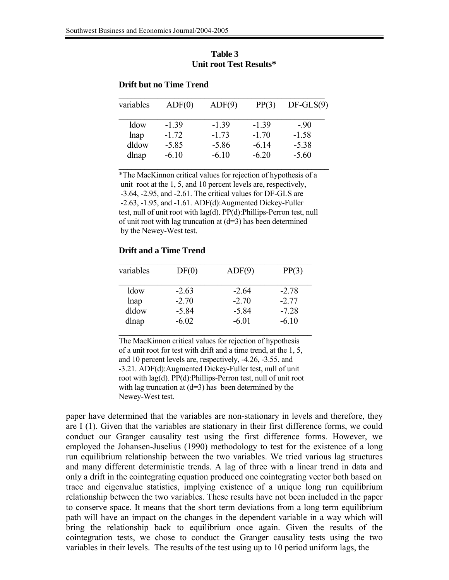| variables | ADF(0)  | ADF(9)  | PP(3)   | $DF-GLS(9)$ |
|-----------|---------|---------|---------|-------------|
| ldow      | $-1.39$ | $-1.39$ | $-1.39$ | $-90$       |
| lnap      | $-1.72$ | $-1.73$ | $-1.70$ | $-1.58$     |
| dldow     | $-5.85$ | $-5.86$ | $-6.14$ | $-5.38$     |
| dlnap     | $-6.10$ | $-6.10$ | $-6.20$ | $-5.60$     |

## **Table 3 Unit root Test Results\***

## **Drift but no Time Trend**

\*The MacKinnon critical values for rejection of hypothesis of a unit root at the 1, 5, and 10 percent levels are, respectively, -3.64, -2.95, and -2.61. The critical values for DF-GLS are -2.63, -1.95, and -1.61. ADF(d):Augmented Dickey-Fuller test, null of unit root with lag(d). PP(d):Phillips-Perron test, null of unit root with lag truncation at  $(d=3)$  has been determined by the Newey-West test.

## **Drift and a Time Trend**

| variables | DF(0)   | ADF(9)  | PP(3)   |
|-----------|---------|---------|---------|
| ldow      | $-2.63$ | $-264$  | $-2.78$ |
| lnap      | $-2.70$ | $-2.70$ | $-2.77$ |
| dldow     | $-5.84$ | $-5.84$ | $-7.28$ |
| dlnap     | $-6.02$ | $-6.01$ | $-6.10$ |

The MacKinnon critical values for rejection of hypothesis of a unit root for test with drift and a time trend, at the 1, 5, and 10 percent levels are, respectively, -4.26, -3.55, and -3.21. ADF(d):Augmented Dickey-Fuller test, null of unit root with lag(d). PP(d):Phillips-Perron test, null of unit root with lag truncation at  $(d=3)$  has been determined by the Newey-West test.

paper have determined that the variables are non-stationary in levels and therefore, they are I (1). Given that the variables are stationary in their first difference forms, we could conduct our Granger causality test using the first difference forms. However, we employed the Johansen-Juselius (1990) methodology to test for the existence of a long run equilibrium relationship between the two variables. We tried various lag structures and many different deterministic trends. A lag of three with a linear trend in data and only a drift in the cointegrating equation produced one cointegrating vector both based on trace and eigenvalue statistics, implying existence of a unique long run equilibrium relationship between the two variables. These results have not been included in the paper to conserve space. It means that the short term deviations from a long term equilibrium path will have an impact on the changes in the dependent variable in a way which will bring the relationship back to equilibrium once again. Given the results of the cointegration tests, we chose to conduct the Granger causality tests using the two variables in their levels. The results of the test using up to 10 period uniform lags, the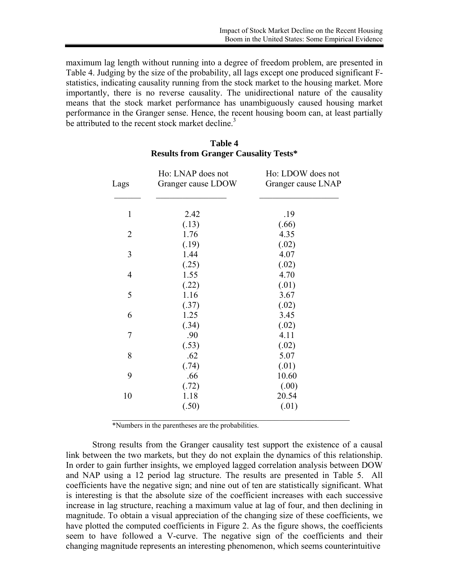maximum lag length without running into a degree of freedom problem, are presented in Table 4. Judging by the size of the probability, all lags except one produced significant Fstatistics, indicating causality running from the stock market to the housing market. More importantly, there is no reverse causality. The unidirectional nature of the causality means that the stock market performance has unambiguously caused housing market performance in the Granger sense. Hence, the recent housing boom can, at least partially be attributed to the recent stock market decline.<sup>3</sup>

| 2.42<br>(.13) | .19                                                                                               |
|---------------|---------------------------------------------------------------------------------------------------|
|               |                                                                                                   |
|               | (.66)                                                                                             |
| 1.76          | 4.35                                                                                              |
| (.19)         | (.02)                                                                                             |
| 1.44          | 4.07                                                                                              |
|               | (.02)                                                                                             |
| 1.55          | 4.70                                                                                              |
|               | (.01)                                                                                             |
| 1.16          | 3.67                                                                                              |
|               | (.02)                                                                                             |
| 1.25          | 3.45                                                                                              |
|               | (.02)                                                                                             |
|               | 4.11                                                                                              |
|               | (.02)                                                                                             |
|               | 5.07                                                                                              |
|               | (.01)                                                                                             |
|               | 10.60                                                                                             |
|               | (.00)                                                                                             |
|               | 20.54                                                                                             |
|               | (.01)                                                                                             |
|               | (.25)<br>(.22)<br>(.37)<br>(.34)<br>.90<br>(.53)<br>.62<br>(.74)<br>.66<br>(.72)<br>1.18<br>(.50) |

## **Table 4 Results from Granger Causality Tests\***

\*Numbers in the parentheses are the probabilities.

Strong results from the Granger causality test support the existence of a causal link between the two markets, but they do not explain the dynamics of this relationship. In order to gain further insights, we employed lagged correlation analysis between DOW and NAP using a 12 period lag structure. The results are presented in Table 5. All coefficients have the negative sign; and nine out of ten are statistically significant. What is interesting is that the absolute size of the coefficient increases with each successive increase in lag structure, reaching a maximum value at lag of four, and then declining in magnitude. To obtain a visual appreciation of the changing size of these coefficients, we have plotted the computed coefficients in Figure 2. As the figure shows, the coefficients seem to have followed a V-curve. The negative sign of the coefficients and their changing magnitude represents an interesting phenomenon, which seems counterintuitive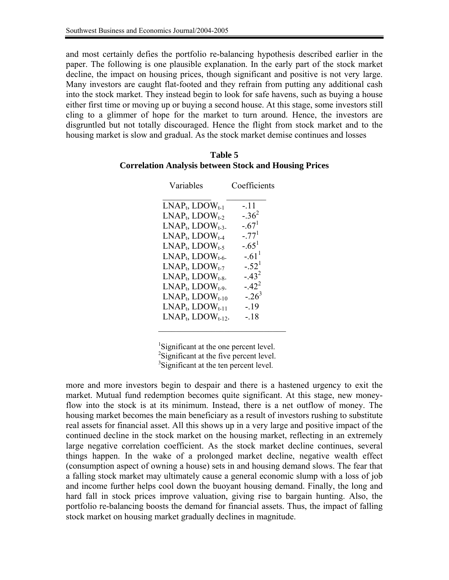and most certainly defies the portfolio re-balancing hypothesis described earlier in the paper. The following is one plausible explanation. In the early part of the stock market decline, the impact on housing prices, though significant and positive is not very large. Many investors are caught flat-footed and they refrain from putting any additional cash into the stock market. They instead begin to look for safe havens, such as buying a house either first time or moving up or buying a second house. At this stage, some investors still cling to a glimmer of hope for the market to turn around. Hence, the investors are disgruntled but not totally discouraged. Hence the flight from stock market and to the housing market is slow and gradual. As the stock market demise continues and losses

### **Table 5 Correlation Analysis between Stock and Housing Prices**

| Variables                  | Coefficients |
|----------------------------|--------------|
| $LNAPt, LDOWt-1$           | $-.11$       |
| $LNAP_t$ , $LDOW_{t-2}$    | $-.36^{2}$   |
| $LNAP_t$ , $LDOW_{t-3}$ .  | $-.671$      |
| $LNAPt$ , $LDOWt-4$        | $-77^{1}$    |
| $LNAP_t$ , $LDOW_{t-5}$    | $-.651$      |
| $LNAP_t$ , $LDOW_{t-6}$ .  | $-.611$      |
| $LNAP_t$ , $LDOW_{t-7}$    | $-.521$      |
| $LNAP_t$ , $LDOW_{t-8-}$   | $-.43^{2}$   |
| $LNAP_t$ , $LDOW_{t-9}$ .  | $-.42^{2}$   |
| $LNAP_t$ , $LDOW_{t-10}$   | $-.26^{3}$   |
| $LNAP_t$ , $LDOW_{t-11}$   | $-19$        |
| $LNAP_t$ , $LDOW_{t-12}$ . | $-18$        |
|                            |              |

<sup>1</sup>Significant at the one percent level. <sup>2</sup>Significant at the five percent level. <sup>3</sup>Significant at the ten percent level.

more and more investors begin to despair and there is a hastened urgency to exit the market. Mutual fund redemption becomes quite significant. At this stage, new moneyflow into the stock is at its minimum. Instead, there is a net outflow of money. The housing market becomes the main beneficiary as a result of investors rushing to substitute real assets for financial asset. All this shows up in a very large and positive impact of the continued decline in the stock market on the housing market, reflecting in an extremely large negative correlation coefficient. As the stock market decline continues, several things happen. In the wake of a prolonged market decline, negative wealth effect (consumption aspect of owning a house) sets in and housing demand slows. The fear that a falling stock market may ultimately cause a general economic slump with a loss of job and income further helps cool down the buoyant housing demand. Finally, the long and hard fall in stock prices improve valuation, giving rise to bargain hunting. Also, the portfolio re-balancing boosts the demand for financial assets. Thus, the impact of falling stock market on housing market gradually declines in magnitude.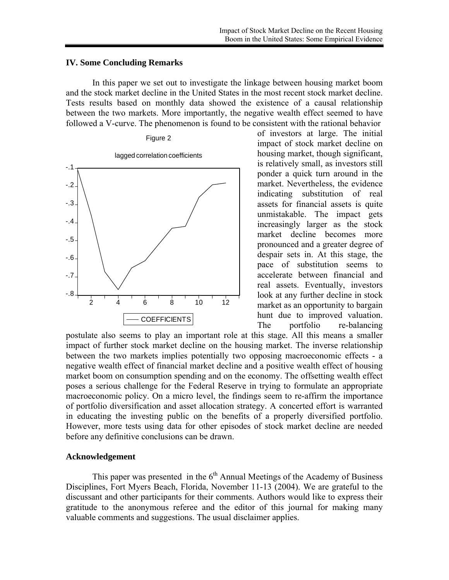### **IV. Some Concluding Remarks**

 In this paper we set out to investigate the linkage between housing market boom and the stock market decline in the United States in the most recent stock market decline. Tests results based on monthly data showed the existence of a causal relationship between the two markets. More importantly, the negative wealth effect seemed to have followed a V-curve. The phenomenon is found to be consistent with the rational behavior



of investors at large. The initial impact of stock market decline on housing market, though significant, is relatively small, as investors still ponder a quick turn around in the market. Nevertheless, the evidence indicating substitution of real assets for financial assets is quite unmistakable. The impact gets increasingly larger as the stock market decline becomes more pronounced and a greater degree of despair sets in. At this stage, the pace of substitution seems to accelerate between financial and real assets. Eventually, investors look at any further decline in stock market as an opportunity to bargain hunt due to improved valuation. The portfolio re-balancing

postulate also seems to play an important role at this stage. All this means a smaller impact of further stock market decline on the housing market. The inverse relationship between the two markets implies potentially two opposing macroeconomic effects - a negative wealth effect of financial market decline and a positive wealth effect of housing market boom on consumption spending and on the economy. The offsetting wealth effect poses a serious challenge for the Federal Reserve in trying to formulate an appropriate macroeconomic policy. On a micro level, the findings seem to re-affirm the importance of portfolio diversification and asset allocation strategy. A concerted effort is warranted in educating the investing public on the benefits of a properly diversified portfolio. However, more tests using data for other episodes of stock market decline are needed before any definitive conclusions can be drawn.

### **Acknowledgement**

This paper was presented in the  $6<sup>th</sup>$  Annual Meetings of the Academy of Business Disciplines, Fort Myers Beach, Florida, November 11-13 (2004). We are grateful to the discussant and other participants for their comments. Authors would like to express their gratitude to the anonymous referee and the editor of this journal for making many valuable comments and suggestions. The usual disclaimer applies.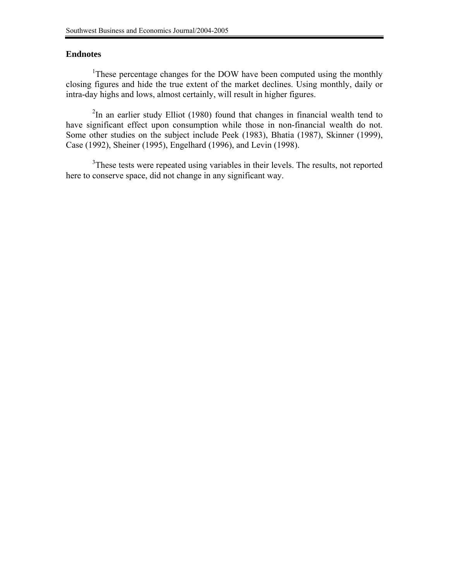# **Endnotes**

<sup>1</sup>These percentage changes for the DOW have been computed using the monthly closing figures and hide the true extent of the market declines. Using monthly, daily or intra-day highs and lows, almost certainly, will result in higher figures.

 $2$ In an earlier study Elliot (1980) found that changes in financial wealth tend to have significant effect upon consumption while those in non-financial wealth do not. Some other studies on the subject include Peek (1983), Bhatia (1987), Skinner (1999), Case (1992), Sheiner (1995), Engelhard (1996), and Levin (1998).

<sup>3</sup>These tests were repeated using variables in their levels. The results, not reported here to conserve space, did not change in any significant way.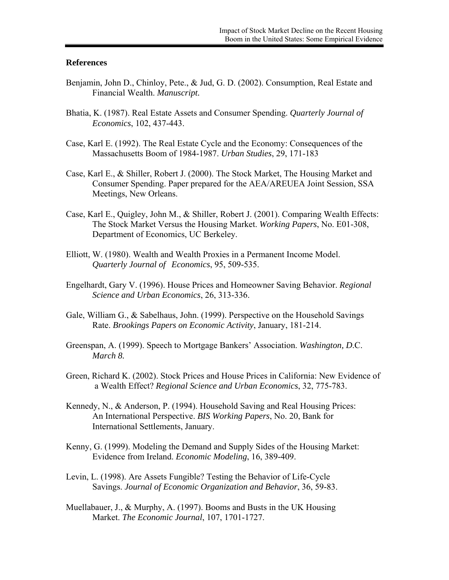### **References**

- Benjamin, John D., Chinloy, Pete., & Jud, G. D. (2002). Consumption, Real Estate and Financial Wealth. *Manuscript.*
- Bhatia, K. (1987). Real Estate Assets and Consumer Spending. *Quarterly Journal of Economics*, 102, 437-443.
- Case, Karl E. (1992). The Real Estate Cycle and the Economy: Consequences of the Massachusetts Boom of 1984-1987. *Urban Studies*, 29, 171-183
- Case, Karl E., & Shiller, Robert J. (2000). The Stock Market, The Housing Market and Consumer Spending. Paper prepared for the AEA/AREUEA Joint Session, SSA Meetings, New Orleans.
- Case, Karl E., Quigley, John M., & Shiller, Robert J. (2001). Comparing Wealth Effects: The Stock Market Versus the Housing Market. *Working Papers*, No. E01-308, Department of Economics, UC Berkeley.
- Elliott, W. (1980). Wealth and Wealth Proxies in a Permanent Income Model. *Quarterly Journal of Economics*, 95, 509-535.
- Engelhardt, Gary V. (1996). House Prices and Homeowner Saving Behavior. *Regional Science and Urban Economics*, 26, 313-336.
- Gale, William G., & Sabelhaus, John. (1999). Perspective on the Household Savings Rate. *Brookings Papers on Economic Activity*, January, 181-214.
- Greenspan, A. (1999). Speech to Mortgage Bankers' Association. *Washington, D*.C. *March 8.*
- Green, Richard K. (2002). Stock Prices and House Prices in California: New Evidence of a Wealth Effect? *Regional Science and Urban Economics*, 32, 775-783.
- Kennedy, N., & Anderson, P. (1994). Household Saving and Real Housing Prices: An International Perspective. *BIS Working Papers*, No. 20, Bank for International Settlements, January.
- Kenny, G. (1999). Modeling the Demand and Supply Sides of the Housing Market: Evidence from Ireland. *Economic Modeling*, 16, 389-409.
- Levin, L. (1998). Are Assets Fungible? Testing the Behavior of Life-Cycle Savings. *Journal of Economic Organization and Behavior*, 36, 59-83.
- Muellabauer, J., & Murphy, A. (1997). Booms and Busts in the UK Housing Market. *The Economic Journal*, 107, 1701-1727.